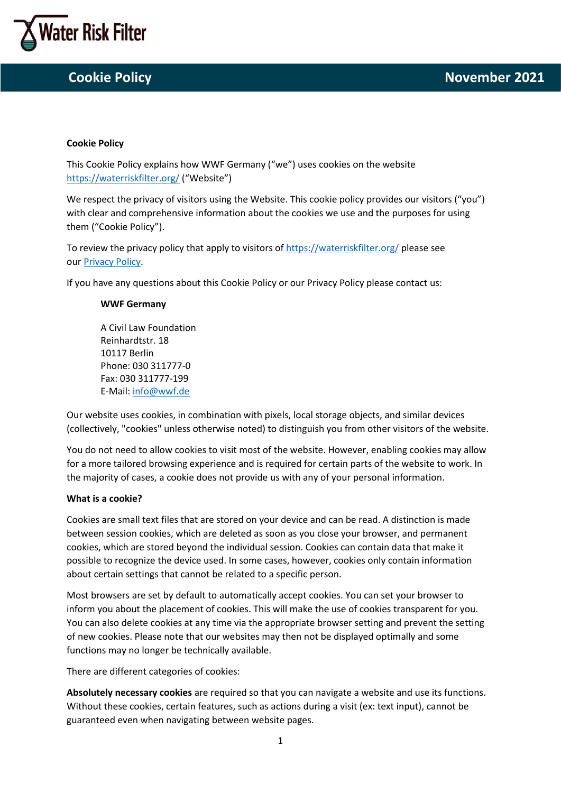

## **Cookie Policy**

This Cookie Policy explains how WWF Germany ("we") uses cookies on the website <https://waterriskfilter.org/> ("Website")

We respect the privacy of visitors using the Website. This cookie policy provides our visitors ("you") with clear and comprehensive information about the cookies we use and the purposes for using them ("Cookie Policy").

To review the privacy policy that apply to visitors o[f https://waterriskfilter.org/](https://waterriskfilter.org/) please see our [Privacy Policy.](https://waterriskfilter.org/assets/documents/WRF_Privacy_Policy.pdf)

If you have any questions about this Cookie Policy or our Privacy Policy please contact us:

### **WWF Germany**

A Civil Law Foundation Reinhardtstr. 18 10117 Berlin Phone: 030 311777-0 Fax: 030 311777-199 E-Mail[: info@wwf.de](mailto:info@wwf.de)

Our website uses cookies, in combination with pixels, local storage objects, and similar devices (collectively, "cookies" unless otherwise noted) to distinguish you from other visitors of the website.

You do not need to allow cookies to visit most of the website. However, enabling cookies may allow for a more tailored browsing experience and is required for certain parts of the website to work. In the majority of cases, a cookie does not provide us with any of your personal information.

### **What is a cookie?**

Cookies are small text files that are stored on your device and can be read. A distinction is made between session cookies, which are deleted as soon as you close your browser, and permanent cookies, which are stored beyond the individual session. Cookies can contain data that make it possible to recognize the device used. In some cases, however, cookies only contain information about certain settings that cannot be related to a specific person.

Most browsers are set by default to automatically accept cookies. You can set your browser to inform you about the placement of cookies. This will make the use of cookies transparent for you. You can also delete cookies at any time via the appropriate browser setting and prevent the setting of new cookies. Please note that our websites may then not be displayed optimally and some functions may no longer be technically available.

There are different categories of cookies:

**Absolutely necessary cookies** are required so that you can navigate a website and use its functions. Without these cookies, certain features, such as actions during a visit (ex: text input), cannot be guaranteed even when navigating between website pages.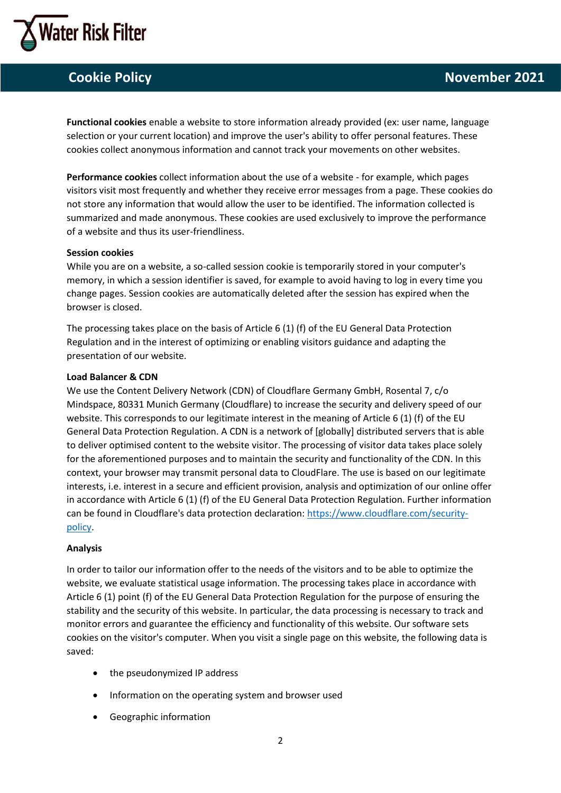

**Functional cookies** enable a website to store information already provided (ex: user name, language selection or your current location) and improve the user's ability to offer personal features. These cookies collect anonymous information and cannot track your movements on other websites.

**Performance cookies** collect information about the use of a website - for example, which pages visitors visit most frequently and whether they receive error messages from a page. These cookies do not store any information that would allow the user to be identified. The information collected is summarized and made anonymous. These cookies are used exclusively to improve the performance of a website and thus its user-friendliness.

### **Session cookies**

While you are on a website, a so-called session cookie is temporarily stored in your computer's memory, in which a session identifier is saved, for example to avoid having to log in every time you change pages. Session cookies are automatically deleted after the session has expired when the browser is closed.

The processing takes place on the basis of Article 6 (1) (f) of the EU General Data Protection Regulation and in the interest of optimizing or enabling visitors guidance and adapting the presentation of our website.

#### **Load Balancer & CDN**

We use the Content Delivery Network (CDN) of Cloudflare Germany GmbH, Rosental 7, c/o Mindspace, 80331 Munich Germany (Cloudflare) to increase the security and delivery speed of our website. This corresponds to our legitimate interest in the meaning of Article 6 (1) (f) of the EU General Data Protection Regulation. A CDN is a network of [globally] distributed servers that is able to deliver optimised content to the website visitor. The processing of visitor data takes place solely for the aforementioned purposes and to maintain the security and functionality of the CDN. In this context, your browser may transmit personal data to CloudFlare. The use is based on our legitimate interests, i.e. interest in a secure and efficient provision, analysis and optimization of our online offer in accordance with Article 6 (1) (f) of the EU General Data Protection Regulation. Further information can be found in Cloudflare's data protection declaration: [https://www.cloudflare.com/security](https://www.cloudflare.com/security-policy)[policy.](https://www.cloudflare.com/security-policy)

### **Analysis**

In order to tailor our information offer to the needs of the visitors and to be able to optimize the website, we evaluate statistical usage information. The processing takes place in accordance with Article 6 (1) point (f) of the EU General Data Protection Regulation for the purpose of ensuring the stability and the security of this website. In particular, the data processing is necessary to track and monitor errors and guarantee the efficiency and functionality of this website. Our software sets cookies on the visitor's computer. When you visit a single page on this website, the following data is saved:

- the pseudonymized IP address
- Information on the operating system and browser used
- Geographic information